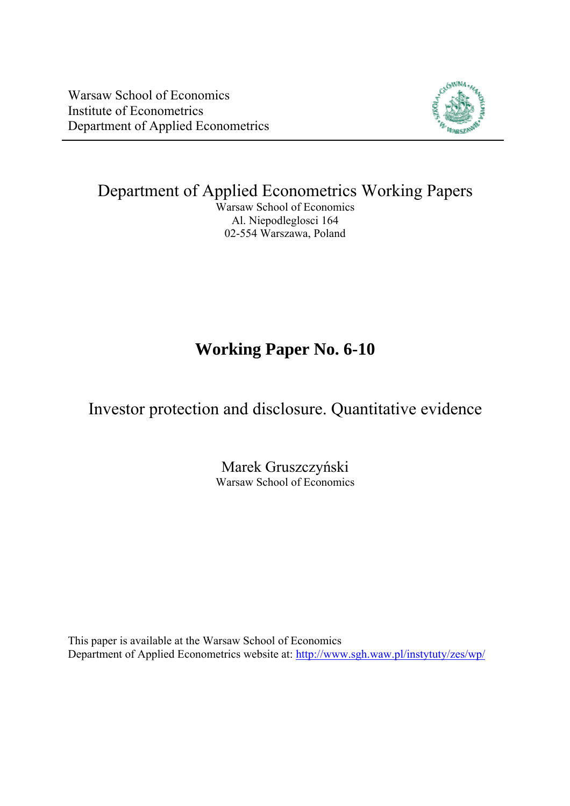

Department of Applied Econometrics Working Papers Warsaw School of Economics Al. Niepodleglosci 164 02-554 Warszawa, Poland

# **Working Paper No. 6-10**

Investor protection and disclosure. Quantitative evidence

Marek Gruszczyński Warsaw School of Economics

This paper is available at the Warsaw School of Economics Department of Applied Econometrics website at: <http://www.sgh.waw.pl/instytuty/zes/wp/>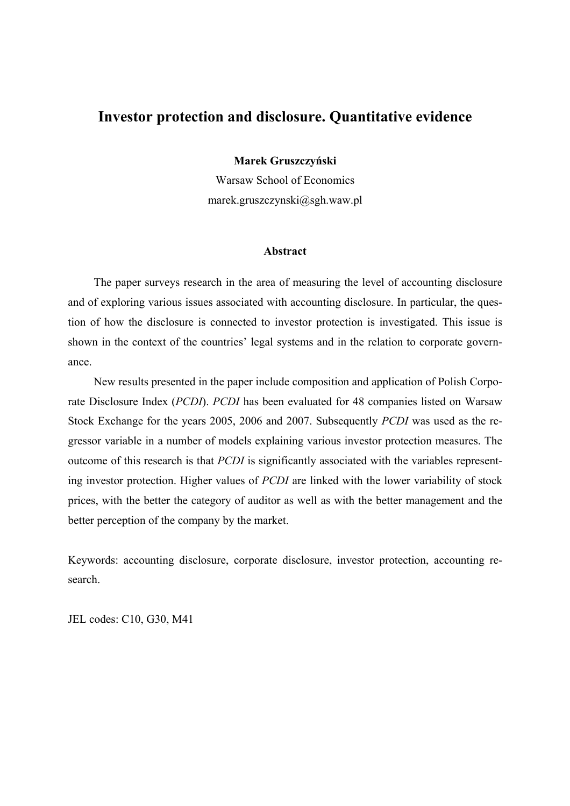# **Investor protection and disclosure. Quantitative evidence**

**Marek Gruszczyński**

Warsaw School of Economics marek.gruszczynski@sgh.waw.pl

#### **Abstract**

The paper surveys research in the area of measuring the level of accounting disclosure and of exploring various issues associated with accounting disclosure. In particular, the question of how the disclosure is connected to investor protection is investigated. This issue is shown in the context of the countries' legal systems and in the relation to corporate governance.

New results presented in the paper include composition and application of Polish Corporate Disclosure Index (*PCDI*). *PCDI* has been evaluated for 48 companies listed on Warsaw Stock Exchange for the years 2005, 2006 and 2007. Subsequently *PCDI* was used as the regressor variable in a number of models explaining various investor protection measures. The outcome of this research is that *PCDI* is significantly associated with the variables representing investor protection. Higher values of *PCDI* are linked with the lower variability of stock prices, with the better the category of auditor as well as with the better management and the better perception of the company by the market.

Keywords: accounting disclosure, corporate disclosure, investor protection, accounting research.

JEL codes: C10, G30, M41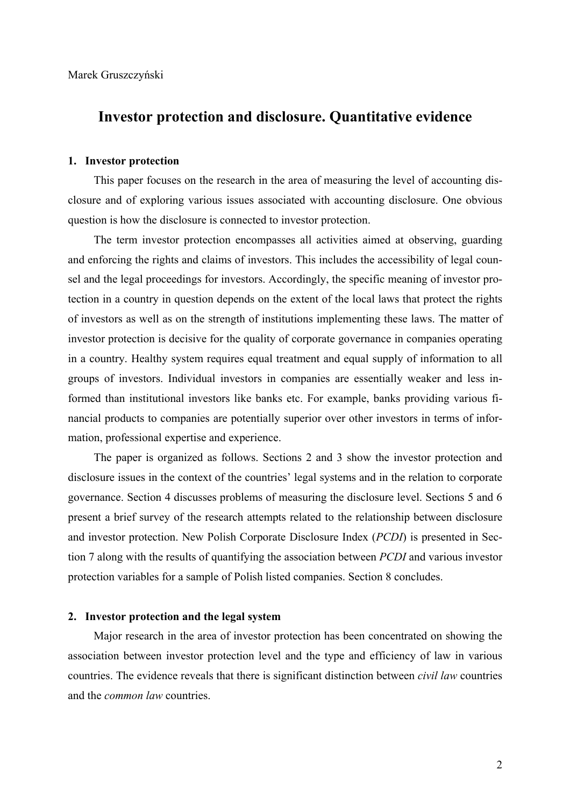# **Investor protection and disclosure. Quantitative evidence**

#### **1. Investor protection**

This paper focuses on the research in the area of measuring the level of accounting disclosure and of exploring various issues associated with accounting disclosure. One obvious question is how the disclosure is connected to investor protection.

The term investor protection encompasses all activities aimed at observing, guarding and enforcing the rights and claims of investors. This includes the accessibility of legal counsel and the legal proceedings for investors. Accordingly, the specific meaning of investor protection in a country in question depends on the extent of the local laws that protect the rights of investors as well as on the strength of institutions implementing these laws. The matter of investor protection is decisive for the quality of corporate governance in companies operating in a country. Healthy system requires equal treatment and equal supply of information to all groups of investors. Individual investors in companies are essentially weaker and less informed than institutional investors like banks etc. For example, banks providing various financial products to companies are potentially superior over other investors in terms of information, professional expertise and experience.

The paper is organized as follows. Sections 2 and 3 show the investor protection and disclosure issues in the context of the countries' legal systems and in the relation to corporate governance. Section 4 discusses problems of measuring the disclosure level. Sections 5 and 6 present a brief survey of the research attempts related to the relationship between disclosure and investor protection. New Polish Corporate Disclosure Index (*PCDI*) is presented in Section 7 along with the results of quantifying the association between *PCDI* and various investor protection variables for a sample of Polish listed companies. Section 8 concludes.

#### **2. Investor protection and the legal system**

Major research in the area of investor protection has been concentrated on showing the association between investor protection level and the type and efficiency of law in various countries. The evidence reveals that there is significant distinction between *civil law* countries and the *common law* countries.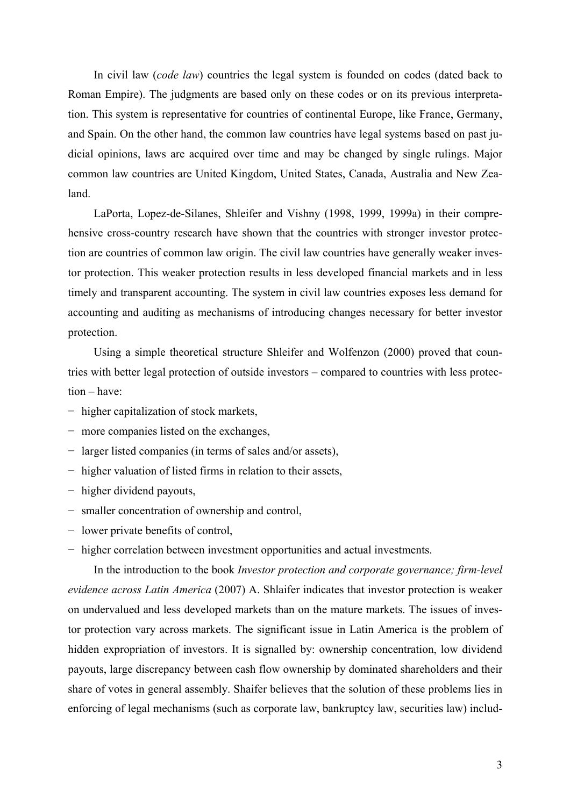In civil law (*code law*) countries the legal system is founded on codes (dated back to Roman Empire). The judgments are based only on these codes or on its previous interpretation. This system is representative for countries of continental Europe, like France, Germany, and Spain. On the other hand, the common law countries have legal systems based on past judicial opinions, laws are acquired over time and may be changed by single rulings. Major common law countries are United Kingdom, United States, Canada, Australia and New Zealand.

LaPorta, Lopez-de-Silanes, Shleifer and Vishny (1998, 1999, 1999a) in their comprehensive cross-country research have shown that the countries with stronger investor protection are countries of common law origin. The civil law countries have generally weaker investor protection. This weaker protection results in less developed financial markets and in less timely and transparent accounting. The system in civil law countries exposes less demand for accounting and auditing as mechanisms of introducing changes necessary for better investor protection.

Using a simple theoretical structure Shleifer and Wolfenzon (2000) proved that countries with better legal protection of outside investors – compared to countries with less protection – have:

- − higher capitalization of stock markets,
- − more companies listed on the exchanges,
- − larger listed companies (in terms of sales and/or assets),
- − higher valuation of listed firms in relation to their assets,
- − higher dividend payouts,
- − smaller concentration of ownership and control,
- − lower private benefits of control,
- − higher correlation between investment opportunities and actual investments.

In the introduction to the book *Investor protection and corporate governance; firm-level evidence across Latin America* (2007) A. Shlaifer indicates that investor protection is weaker on undervalued and less developed markets than on the mature markets. The issues of investor protection vary across markets. The significant issue in Latin America is the problem of hidden expropriation of investors. It is signalled by: ownership concentration, low dividend payouts, large discrepancy between cash flow ownership by dominated shareholders and their share of votes in general assembly. Shaifer believes that the solution of these problems lies in enforcing of legal mechanisms (such as corporate law, bankruptcy law, securities law) includ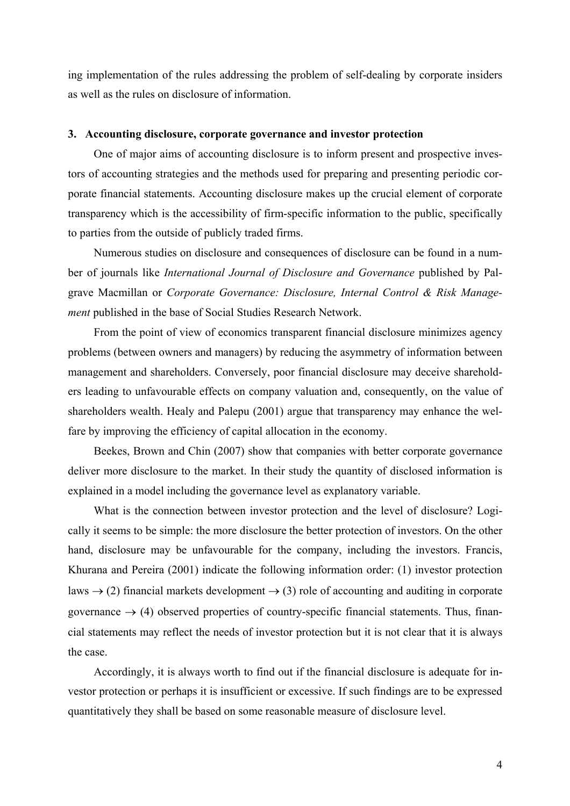ing implementation of the rules addressing the problem of self-dealing by corporate insiders as well as the rules on disclosure of information.

#### **3. Accounting disclosure, corporate governance and investor protection**

One of major aims of accounting disclosure is to inform present and prospective investors of accounting strategies and the methods used for preparing and presenting periodic corporate financial statements. Accounting disclosure makes up the crucial element of corporate transparency which is the accessibility of firm-specific information to the public, specifically to parties from the outside of publicly traded firms.

Numerous studies on disclosure and consequences of disclosure can be found in a number of journals like *International Journal of Disclosure and Governance* published by Palgrave Macmillan or *Corporate Governance: Disclosure, Internal Control & Risk Management* published in the base of Social Studies Research Network.

From the point of view of economics transparent financial disclosure minimizes agency problems (between owners and managers) by reducing the asymmetry of information between management and shareholders. Conversely, poor financial disclosure may deceive shareholders leading to unfavourable effects on company valuation and, consequently, on the value of shareholders wealth. Healy and Palepu (2001) argue that transparency may enhance the welfare by improving the efficiency of capital allocation in the economy.

Beekes, Brown and Chin (2007) show that companies with better corporate governance deliver more disclosure to the market. In their study the quantity of disclosed information is explained in a model including the governance level as explanatory variable.

What is the connection between investor protection and the level of disclosure? Logically it seems to be simple: the more disclosure the better protection of investors. On the other hand, disclosure may be unfavourable for the company, including the investors. Francis, Khurana and Pereira (2001) indicate the following information order: (1) investor protection laws  $\rightarrow$  (2) financial markets development  $\rightarrow$  (3) role of accounting and auditing in corporate governance  $\rightarrow$  (4) observed properties of country-specific financial statements. Thus, financial statements may reflect the needs of investor protection but it is not clear that it is always the case.

Accordingly, it is always worth to find out if the financial disclosure is adequate for investor protection or perhaps it is insufficient or excessive. If such findings are to be expressed quantitatively they shall be based on some reasonable measure of disclosure level.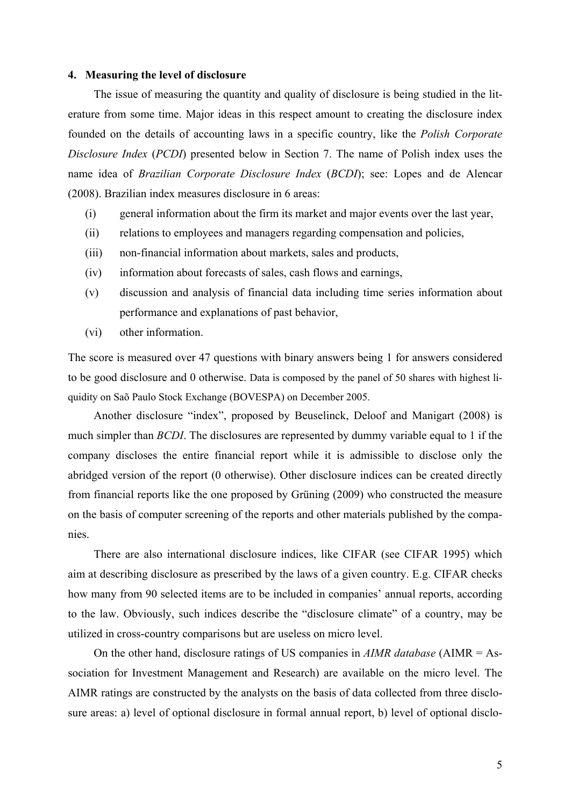#### **4. Measuring the level of disclosure**

The issue of measuring the quantity and quality of disclosure is being studied in the literature from some time. Major ideas in this respect amount to creating the disclosure index founded on the details of accounting laws in a specific country, like the *Polish Corporate Disclosure Index* (*PCDI*) presented below in Section 7. The name of Polish index uses the name idea of *Brazilian Corporate Disclosure Index* (*BCDI*); see: Lopes and de Alencar (2008). Brazilian index measures disclosure in 6 areas:

- (i) general information about the firm its market and major events over the last year,
- (ii) relations to employees and managers regarding compensation and policies,
- (iii) non-financial information about markets, sales and products,
- (iv) information about forecasts of sales, cash flows and earnings,
- (v) discussion and analysis of financial data including time series information about performance and explanations of past behavior,
- (vi) other information.

The score is measured over 47 questions with binary answers being 1 for answers considered to be good disclosure and 0 otherwise. Data is composed by the panel of 50 shares with highest liquidity on Saõ Paulo Stock Exchange (BOVESPA) on December 2005.

Another disclosure "index", proposed by Beuselinck, Deloof and Manigart (2008) is much simpler than *BCDI*. The disclosures are represented by dummy variable equal to 1 if the company discloses the entire financial report while it is admissible to disclose only the abridged version of the report (0 otherwise). Other disclosure indices can be created directly from financial reports like the one proposed by Grüning (2009) who constructed the measure on the basis of computer screening of the reports and other materials published by the companies.

There are also international disclosure indices, like CIFAR (see CIFAR 1995) which aim at describing disclosure as prescribed by the laws of a given country. E.g. CIFAR checks how many from 90 selected items are to be included in companies' annual reports, according to the law. Obviously, such indices describe the "disclosure climate" of a country, may be utilized in cross-country comparisons but are useless on micro level.

On the other hand, disclosure ratings of US companies in *AIMR database* (AIMR = Association for Investment Management and Research) are available on the micro level. The AIMR ratings are constructed by the analysts on the basis of data collected from three disclosure areas: a) level of optional disclosure in formal annual report, b) level of optional disclo-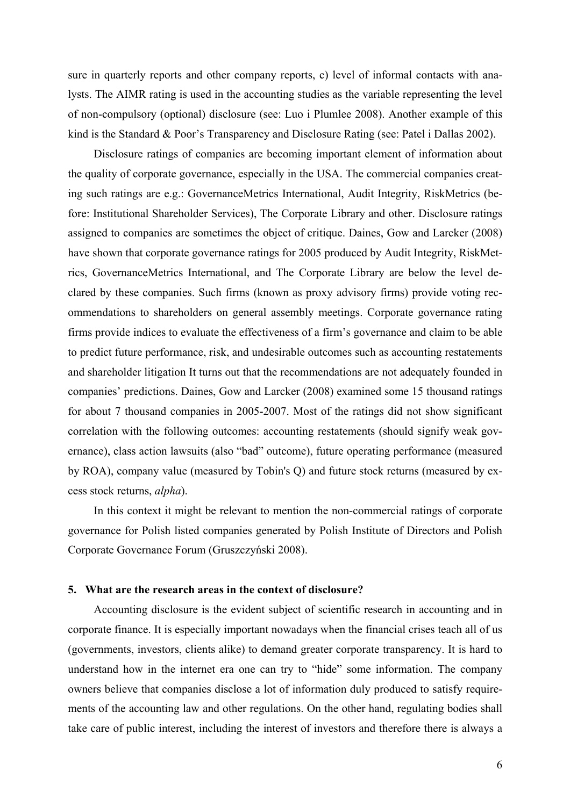sure in quarterly reports and other company reports, c) level of informal contacts with analysts. The AIMR rating is used in the accounting studies as the variable representing the level of non-compulsory (optional) disclosure (see: Luo i Plumlee 2008). Another example of this kind is the Standard & Poor's Transparency and Disclosure Rating (see: Patel i Dallas 2002).

Disclosure ratings of companies are becoming important element of information about the quality of corporate governance, especially in the USA. The commercial companies creating such ratings are e.g.: GovernanceMetrics International, Audit Integrity, RiskMetrics (before: Institutional Shareholder Services), The Corporate Library and other. Disclosure ratings assigned to companies are sometimes the object of critique. Daines, Gow and Larcker (2008) have shown that corporate governance ratings for 2005 produced by Audit Integrity, RiskMetrics, GovernanceMetrics International, and The Corporate Library are below the level declared by these companies. Such firms (known as proxy advisory firms) provide voting recommendations to shareholders on general assembly meetings. Corporate governance rating firms provide indices to evaluate the effectiveness of a firm's governance and claim to be able to predict future performance, risk, and undesirable outcomes such as accounting restatements and shareholder litigation It turns out that the recommendations are not adequately founded in companies' predictions. Daines, Gow and Larcker (2008) examined some 15 thousand ratings for about 7 thousand companies in 2005-2007. Most of the ratings did not show significant correlation with the following outcomes: accounting restatements (should signify weak governance), class action lawsuits (also "bad" outcome), future operating performance (measured by ROA), company value (measured by Tobin's Q) and future stock returns (measured by excess stock returns, *alpha*).

In this context it might be relevant to mention the non-commercial ratings of corporate governance for Polish listed companies generated by Polish Institute of Directors and Polish Corporate Governance Forum (Gruszczyński 2008).

#### **5. What are the research areas in the context of disclosure?**

Accounting disclosure is the evident subject of scientific research in accounting and in corporate finance. It is especially important nowadays when the financial crises teach all of us (governments, investors, clients alike) to demand greater corporate transparency. It is hard to understand how in the internet era one can try to "hide" some information. The company owners believe that companies disclose a lot of information duly produced to satisfy requirements of the accounting law and other regulations. On the other hand, regulating bodies shall take care of public interest, including the interest of investors and therefore there is always a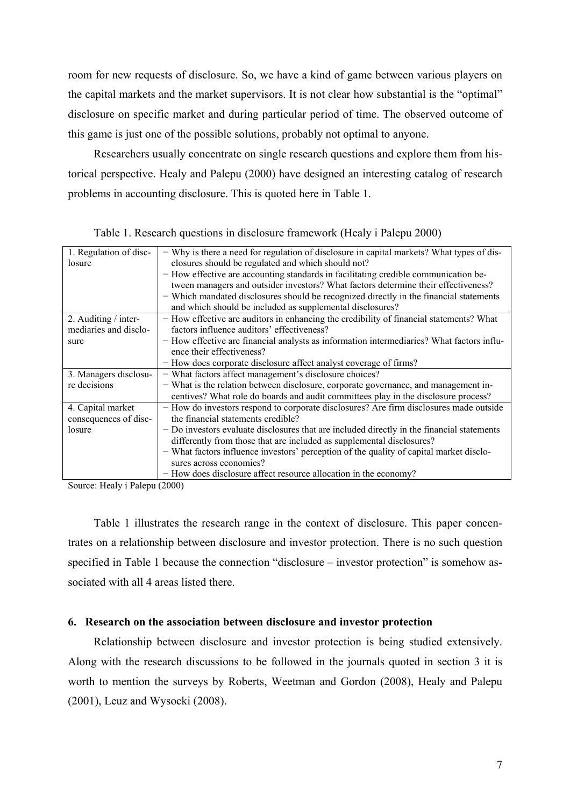room for new requests of disclosure. So, we have a kind of game between various players on the capital markets and the market supervisors. It is not clear how substantial is the "optimal" disclosure on specific market and during particular period of time. The observed outcome of this game is just one of the possible solutions, probably not optimal to anyone.

Researchers usually concentrate on single research questions and explore them from historical perspective. Healy and Palepu (2000) have designed an interesting catalog of research problems in accounting disclosure. This is quoted here in Table 1.

| 1. Regulation of disc-                                             | - Why is there a need for regulation of disclosure in capital markets? What types of dis-  |
|--------------------------------------------------------------------|--------------------------------------------------------------------------------------------|
| losure                                                             | closures should be regulated and which should not?                                         |
|                                                                    | - How effective are accounting standards in facilitating credible communication be-        |
|                                                                    | tween managers and outsider investors? What factors determine their effectiveness?         |
|                                                                    | - Which mandated disclosures should be recognized directly in the financial statements     |
|                                                                    | and which should be included as supplemental disclosures?                                  |
| 2. Auditing / inter-                                               | - How effective are auditors in enhancing the credibility of financial statements? What    |
| mediaries and disclo-                                              | factors influence auditors' effectiveness?                                                 |
| sure                                                               | - How effective are financial analysts as information intermediaries? What factors influ-  |
|                                                                    | ence their effectiveness?                                                                  |
|                                                                    | - How does corporate disclosure affect analyst coverage of firms?                          |
| 3. Managers disclosu-                                              | - What factors affect management's disclosure choices?                                     |
| re decisions                                                       | - What is the relation between disclosure, corporate governance, and management in-        |
|                                                                    | centives? What role do boards and audit committees play in the disclosure process?         |
| 4. Capital market                                                  | - How do investors respond to corporate disclosures? Are firm disclosures made outside     |
| consequences of disc-                                              | the financial statements credible?                                                         |
| losure                                                             | - Do investors evaluate disclosures that are included directly in the financial statements |
|                                                                    | differently from those that are included as supplemental disclosures?                      |
|                                                                    | - What factors influence investors' perception of the quality of capital market disclo-    |
|                                                                    | sures across economies?                                                                    |
|                                                                    | - How does disclosure affect resource allocation in the economy?                           |
| $C_{\text{ouro}}$ $U_{\text{col}}$ i $D_{\text{ol}}$ $\sim$ (2000) |                                                                                            |

Table 1. Research questions in disclosure framework (Healy i Palepu 2000)

Source: Healy i Palepu (2000)

Table 1 illustrates the research range in the context of disclosure. This paper concentrates on a relationship between disclosure and investor protection. There is no such question specified in Table 1 because the connection "disclosure – investor protection" is somehow associated with all 4 areas listed there.

## **6. Research on the association between disclosure and investor protection**

Relationship between disclosure and investor protection is being studied extensively. Along with the research discussions to be followed in the journals quoted in section 3 it is worth to mention the surveys by Roberts, Weetman and Gordon (2008), Healy and Palepu (2001), Leuz and Wysocki (2008).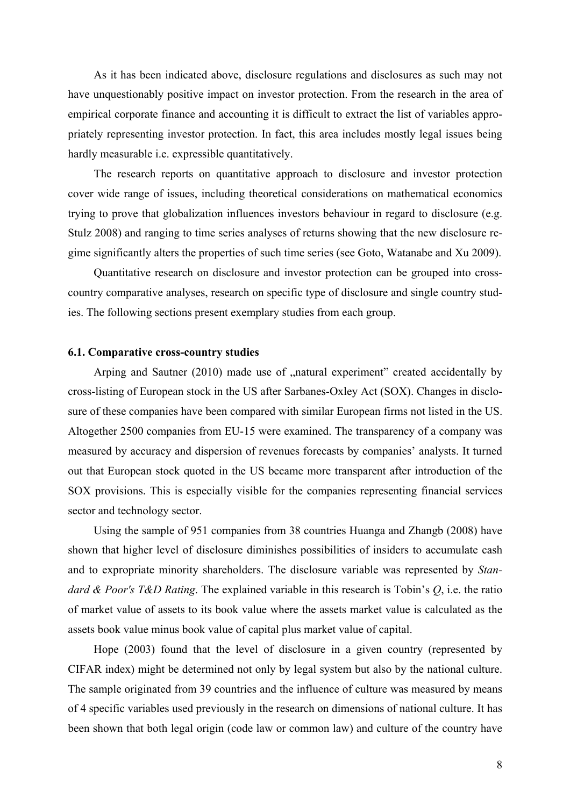As it has been indicated above, disclosure regulations and disclosures as such may not have unquestionably positive impact on investor protection. From the research in the area of empirical corporate finance and accounting it is difficult to extract the list of variables appropriately representing investor protection. In fact, this area includes mostly legal issues being hardly measurable i.e. expressible quantitatively.

The research reports on quantitative approach to disclosure and investor protection cover wide range of issues, including theoretical considerations on mathematical economics trying to prove that globalization influences investors behaviour in regard to disclosure (e.g. Stulz 2008) and ranging to time series analyses of returns showing that the new disclosure regime significantly alters the properties of such time series (see Goto, Watanabe and Xu 2009).

Quantitative research on disclosure and investor protection can be grouped into crosscountry comparative analyses, research on specific type of disclosure and single country studies. The following sections present exemplary studies from each group.

#### **6.1. Comparative cross-country studies**

Arping and Sautner  $(2010)$  made use of "natural experiment" created accidentally by cross-listing of European stock in the US after Sarbanes-Oxley Act (SOX). Changes in disclosure of these companies have been compared with similar European firms not listed in the US. Altogether 2500 companies from EU-15 were examined. The transparency of a company was measured by accuracy and dispersion of revenues forecasts by companies' analysts. It turned out that European stock quoted in the US became more transparent after introduction of the SOX provisions. This is especially visible for the companies representing financial services sector and technology sector.

Using the sample of 951 companies from 38 countries Huanga and Zhangb (2008) have shown that higher level of disclosure diminishes possibilities of insiders to accumulate cash and to expropriate minority shareholders. The disclosure variable was represented by *Standard & Poor's T&D Rating*. The explained variable in this research is Tobin's *Q*, i.e. the ratio of market value of assets to its book value where the assets market value is calculated as the assets book value minus book value of capital plus market value of capital.

Hope (2003) found that the level of disclosure in a given country (represented by CIFAR index) might be determined not only by legal system but also by the national culture. The sample originated from 39 countries and the influence of culture was measured by means of 4 specific variables used previously in the research on dimensions of national culture. It has been shown that both legal origin (code law or common law) and culture of the country have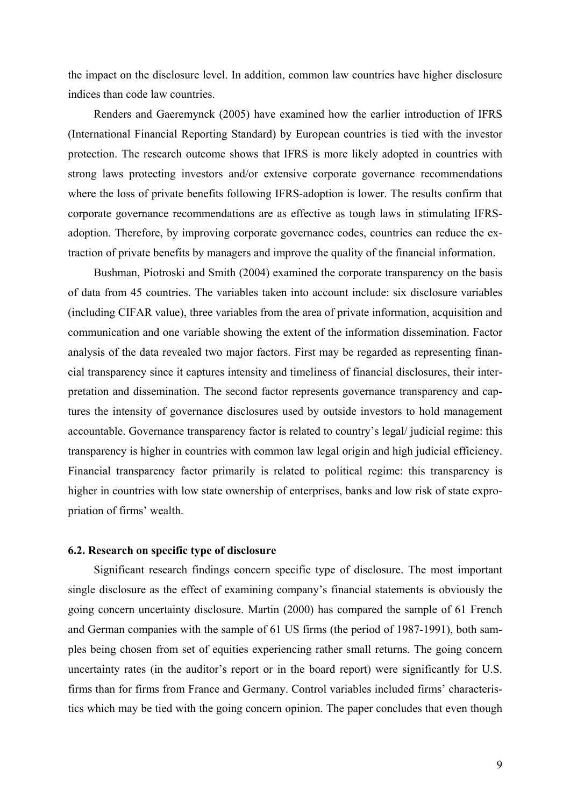the impact on the disclosure level. In addition, common law countries have higher disclosure indices than code law countries.

Renders and Gaeremynck (2005) have examined how the earlier introduction of IFRS (International Financial Reporting Standard) by European countries is tied with the investor protection. The research outcome shows that IFRS is more likely adopted in countries with strong laws protecting investors and/or extensive corporate governance recommendations where the loss of private benefits following IFRS-adoption is lower. The results confirm that corporate governance recommendations are as effective as tough laws in stimulating IFRSadoption. Therefore, by improving corporate governance codes, countries can reduce the extraction of private benefits by managers and improve the quality of the financial information.

Bushman, Piotroski and Smith (2004) examined the corporate transparency on the basis of data from 45 countries. The variables taken into account include: six disclosure variables (including CIFAR value), three variables from the area of private information, acquisition and communication and one variable showing the extent of the information dissemination. Factor analysis of the data revealed two major factors. First may be regarded as representing financial transparency since it captures intensity and timeliness of financial disclosures, their interpretation and dissemination. The second factor represents governance transparency and captures the intensity of governance disclosures used by outside investors to hold management accountable. Governance transparency factor is related to country's legal/ judicial regime: this transparency is higher in countries with common law legal origin and high judicial efficiency. Financial transparency factor primarily is related to political regime: this transparency is higher in countries with low state ownership of enterprises, banks and low risk of state expropriation of firms' wealth.

# **6.2. Research on specific type of disclosure**

Significant research findings concern specific type of disclosure. The most important single disclosure as the effect of examining company's financial statements is obviously the going concern uncertainty disclosure. Martin (2000) has compared the sample of 61 French and German companies with the sample of 61 US firms (the period of 1987-1991), both samples being chosen from set of equities experiencing rather small returns. The going concern uncertainty rates (in the auditor's report or in the board report) were significantly for U.S. firms than for firms from France and Germany. Control variables included firms' characteristics which may be tied with the going concern opinion. The paper concludes that even though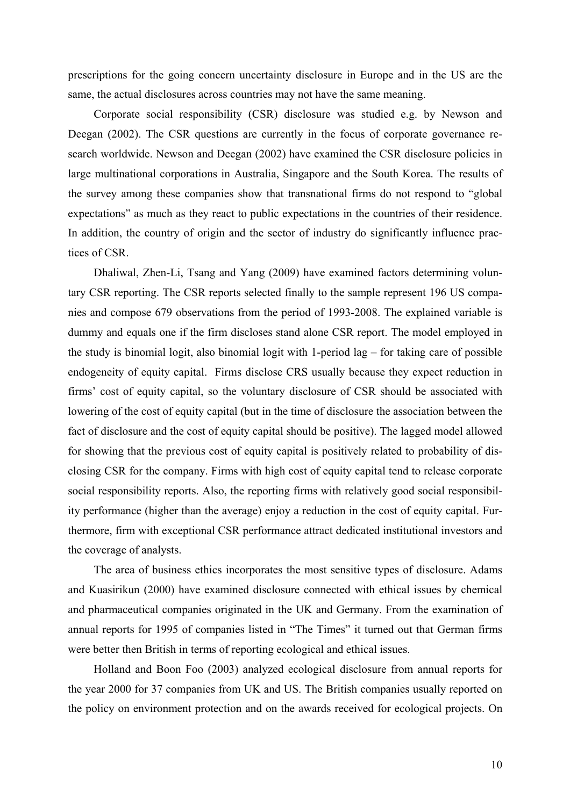prescriptions for the going concern uncertainty disclosure in Europe and in the US are the same, the actual disclosures across countries may not have the same meaning.

Corporate social responsibility (CSR) disclosure was studied e.g. by Newson and Deegan (2002). The CSR questions are currently in the focus of corporate governance research worldwide. Newson and Deegan (2002) have examined the CSR disclosure policies in large multinational corporations in Australia, Singapore and the South Korea. The results of the survey among these companies show that transnational firms do not respond to "global expectations" as much as they react to public expectations in the countries of their residence. In addition, the country of origin and the sector of industry do significantly influence practices of CSR.

Dhaliwal, Zhen-Li, Tsang and Yang (2009) have examined factors determining voluntary CSR reporting. The CSR reports selected finally to the sample represent 196 US companies and compose 679 observations from the period of 1993-2008. The explained variable is dummy and equals one if the firm discloses stand alone CSR report. The model employed in the study is binomial logit, also binomial logit with 1-period lag – for taking care of possible endogeneity of equity capital. Firms disclose CRS usually because they expect reduction in firms' cost of equity capital, so the voluntary disclosure of CSR should be associated with lowering of the cost of equity capital (but in the time of disclosure the association between the fact of disclosure and the cost of equity capital should be positive). The lagged model allowed for showing that the previous cost of equity capital is positively related to probability of disclosing CSR for the company. Firms with high cost of equity capital tend to release corporate social responsibility reports. Also, the reporting firms with relatively good social responsibility performance (higher than the average) enjoy a reduction in the cost of equity capital. Furthermore, firm with exceptional CSR performance attract dedicated institutional investors and the coverage of analysts.

The area of business ethics incorporates the most sensitive types of disclosure. Adams and Kuasirikun (2000) have examined disclosure connected with ethical issues by chemical and pharmaceutical companies originated in the UK and Germany. From the examination of annual reports for 1995 of companies listed in "The Times" it turned out that German firms were better then British in terms of reporting ecological and ethical issues.

Holland and Boon Foo (2003) analyzed ecological disclosure from annual reports for the year 2000 for 37 companies from UK and US. The British companies usually reported on the policy on environment protection and on the awards received for ecological projects. On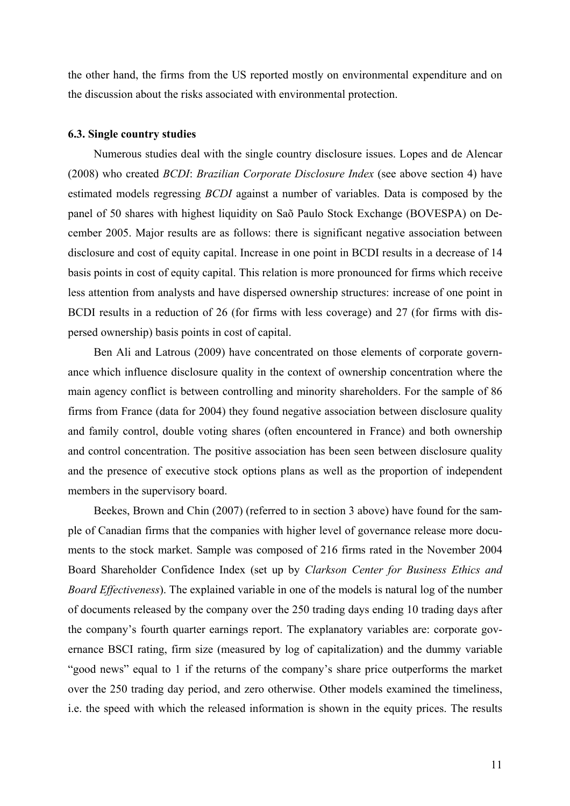the other hand, the firms from the US reported mostly on environmental expenditure and on the discussion about the risks associated with environmental protection.

#### **6.3. Single country studies**

Numerous studies deal with the single country disclosure issues. Lopes and de Alencar (2008) who created *BCDI*: *Brazilian Corporate Disclosure Index* (see above section 4) have estimated models regressing *BCDI* against a number of variables. Data is composed by the panel of 50 shares with highest liquidity on Saõ Paulo Stock Exchange (BOVESPA) on December 2005. Major results are as follows: there is significant negative association between disclosure and cost of equity capital. Increase in one point in BCDI results in a decrease of 14 basis points in cost of equity capital. This relation is more pronounced for firms which receive less attention from analysts and have dispersed ownership structures: increase of one point in BCDI results in a reduction of 26 (for firms with less coverage) and 27 (for firms with dispersed ownership) basis points in cost of capital.

Ben Ali and Latrous (2009) have concentrated on those elements of corporate governance which influence disclosure quality in the context of ownership concentration where the main agency conflict is between controlling and minority shareholders. For the sample of 86 firms from France (data for 2004) they found negative association between disclosure quality and family control, double voting shares (often encountered in France) and both ownership and control concentration. The positive association has been seen between disclosure quality and the presence of executive stock options plans as well as the proportion of independent members in the supervisory board.

Beekes, Brown and Chin (2007) (referred to in section 3 above) have found for the sample of Canadian firms that the companies with higher level of governance release more documents to the stock market. Sample was composed of 216 firms rated in the November 2004 Board Shareholder Confidence Index (set up by *Clarkson Center for Business Ethics and Board Effectiveness*). The explained variable in one of the models is natural log of the number of documents released by the company over the 250 trading days ending 10 trading days after the company's fourth quarter earnings report. The explanatory variables are: corporate governance BSCI rating, firm size (measured by log of capitalization) and the dummy variable "good news" equal to 1 if the returns of the company's share price outperforms the market over the 250 trading day period, and zero otherwise. Other models examined the timeliness, i.e. the speed with which the released information is shown in the equity prices. The results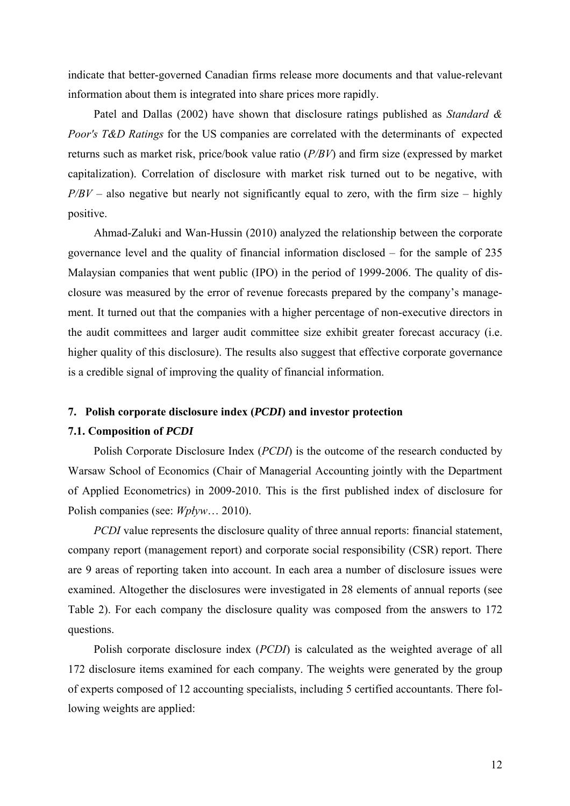indicate that better-governed Canadian firms release more documents and that value-relevant information about them is integrated into share prices more rapidly.

Patel and Dallas (2002) have shown that disclosure ratings published as *Standard & Poor's T&D Ratings* for the US companies are correlated with the determinants of expected returns such as market risk, price/book value ratio (*P/BV*) and firm size (expressed by market capitalization). Correlation of disclosure with market risk turned out to be negative, with  $P/BV$  – also negative but nearly not significantly equal to zero, with the firm size – highly positive.

Ahmad-Zaluki and Wan-Hussin (2010) analyzed the relationship between the corporate governance level and the quality of financial information disclosed – for the sample of 235 Malaysian companies that went public (IPO) in the period of 1999-2006. The quality of disclosure was measured by the error of revenue forecasts prepared by the company's management. It turned out that the companies with a higher percentage of non-executive directors in the audit committees and larger audit committee size exhibit greater forecast accuracy (i.e. higher quality of this disclosure). The results also suggest that effective corporate governance is a credible signal of improving the quality of financial information.

#### **7. Polish corporate disclosure index (***PCDI***) and investor protection**

#### **7.1. Composition of** *PCDI*

Polish Corporate Disclosure Index (*PCDI*) is the outcome of the research conducted by Warsaw School of Economics (Chair of Managerial Accounting jointly with the Department of Applied Econometrics) in 2009-2010. This is the first published index of disclosure for Polish companies (see: *Wpływ*… 2010).

*PCDI* value represents the disclosure quality of three annual reports: financial statement, company report (management report) and corporate social responsibility (CSR) report. There are 9 areas of reporting taken into account. In each area a number of disclosure issues were examined. Altogether the disclosures were investigated in 28 elements of annual reports (see Table 2). For each company the disclosure quality was composed from the answers to 172 questions.

Polish corporate disclosure index (*PCDI*) is calculated as the weighted average of all 172 disclosure items examined for each company. The weights were generated by the group of experts composed of 12 accounting specialists, including 5 certified accountants. There following weights are applied: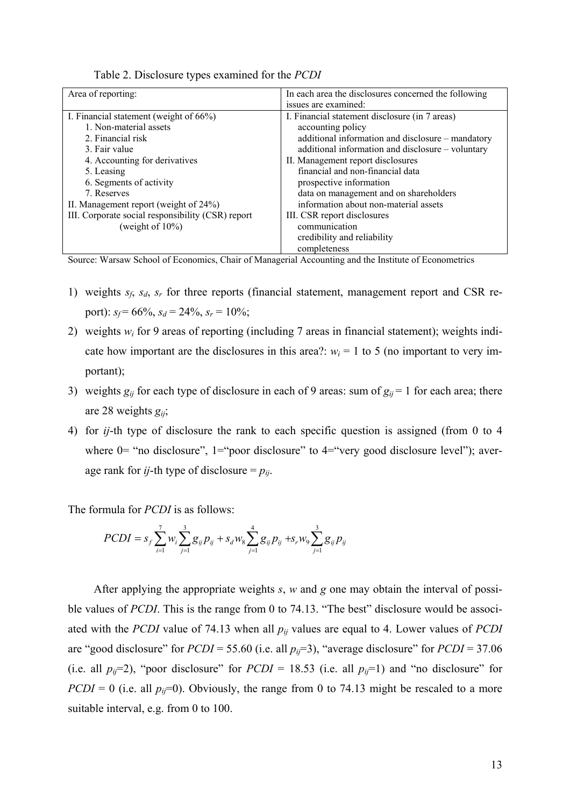| Table 2. Disclosure types examined for the PCDI |  |  |  |  |  |  |  |
|-------------------------------------------------|--|--|--|--|--|--|--|
|-------------------------------------------------|--|--|--|--|--|--|--|

| Area of reporting:                                | In each area the disclosures concerned the following |
|---------------------------------------------------|------------------------------------------------------|
|                                                   | issues are examined:                                 |
| I. Financial statement (weight of $66\%$ )        | I. Financial statement disclosure (in 7 areas)       |
| 1. Non-material assets                            | accounting policy                                    |
| 2. Financial risk                                 | additional information and disclosure - mandatory    |
| 3. Fair value                                     | additional information and disclosure – voluntary    |
| 4. Accounting for derivatives                     | II. Management report disclosures                    |
| 5. Leasing                                        | financial and non-financial data                     |
| 6. Segments of activity                           | prospective information                              |
| 7. Reserves                                       | data on management and on shareholders               |
| II. Management report (weight of 24%)             | information about non-material assets                |
| III. Corporate social responsibility (CSR) report | III. CSR report disclosures                          |
| (weight of $10\%$ )                               | communication                                        |
|                                                   | credibility and reliability                          |
|                                                   | completeness                                         |

Source: Warsaw School of Economics, Chair of Managerial Accounting and the Institute of Econometrics

- 1) weights  $s_f$ ,  $s_d$ ,  $s_r$  for three reports (financial statement, management report and CSR report):  $s_f = 66\%, s_d = 24\%, s_r = 10\%;$
- 2) weights *wi* for 9 areas of reporting (including 7 areas in financial statement); weights indicate how important are the disclosures in this area?:  $w_i = 1$  to 5 (no important to very important);
- 3) weights  $g_{ij}$  for each type of disclosure in each of 9 areas: sum of  $g_{ij} = 1$  for each area; there are 28 weights *gij*;
- 4) for *ij*-th type of disclosure the rank to each specific question is assigned (from 0 to 4 where  $0=$  "no disclosure",  $1=$ "poor disclosure" to  $4=$ "very good disclosure level"); average rank for *ij*-th type of disclosure  $= p_{ij}$ .

The formula for *PCDI* is as follows:

$$
PCDI = s_f \sum_{i=1}^{7} w_i \sum_{j=1}^{3} g_{ij} p_{ij} + s_d w_8 \sum_{j=1}^{4} g_{ij} p_{ij} + s_r w_9 \sum_{j=1}^{3} g_{ij} p_{ij}
$$

After applying the appropriate weights *s*, *w* and *g* one may obtain the interval of possible values of *PCDI*. This is the range from 0 to 74.13. "The best" disclosure would be associated with the *PCDI* value of 74.13 when all *pij* values are equal to 4. Lower values of *PCDI* are "good disclosure" for  $PCDI = 55.60$  (i.e. all  $p_{ij}=3$ ), "average disclosure" for  $PCDI = 37.06$ (i.e. all  $p_{ij}=2$ ), "poor disclosure" for  $PCDI = 18.53$  (i.e. all  $p_{ij}=1$ ) and "no disclosure" for  $PCDI = 0$  (i.e. all  $p_{ij}=0$ ). Obviously, the range from 0 to 74.13 might be rescaled to a more suitable interval, e.g. from 0 to 100.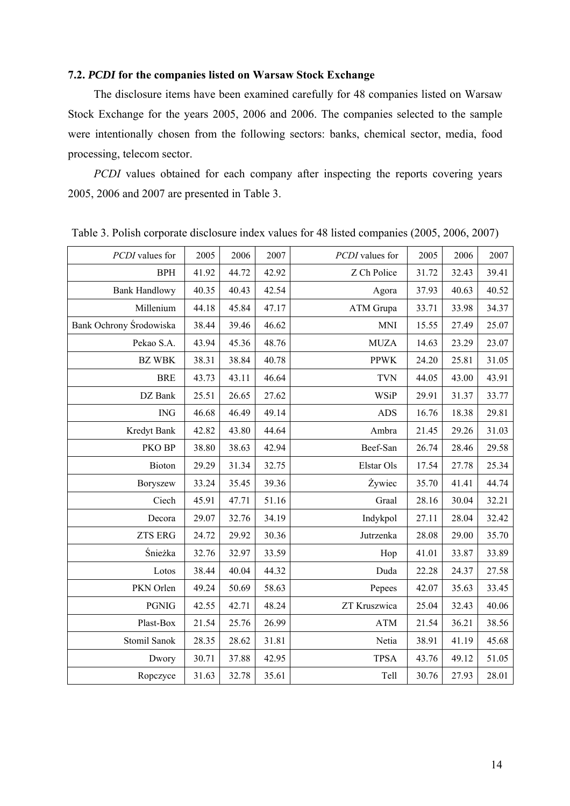## **7.2.** *PCDI* **for the companies listed on Warsaw Stock Exchange**

The disclosure items have been examined carefully for 48 companies listed on Warsaw Stock Exchange for the years 2005, 2006 and 2006. The companies selected to the sample were intentionally chosen from the following sectors: banks, chemical sector, media, food processing, telecom sector.

*PCDI* values obtained for each company after inspecting the reports covering years 2005, 2006 and 2007 are presented in Table 3.

| PCDI values for         | 2005  | 2006  | 2007  | PCDI values for | 2005  | 2006  | 2007  |
|-------------------------|-------|-------|-------|-----------------|-------|-------|-------|
| <b>BPH</b>              | 41.92 | 44.72 | 42.92 | Z Ch Police     | 31.72 | 32.43 | 39.41 |
| <b>Bank Handlowy</b>    | 40.35 | 40.43 | 42.54 | Agora           | 37.93 | 40.63 | 40.52 |
| Millenium               | 44.18 | 45.84 | 47.17 | ATM Grupa       | 33.71 | 33.98 | 34.37 |
| Bank Ochrony Środowiska | 38.44 | 39.46 | 46.62 | <b>MNI</b>      | 15.55 | 27.49 | 25.07 |
| Pekao S.A.              | 43.94 | 45.36 | 48.76 | <b>MUZA</b>     | 14.63 | 23.29 | 23.07 |
| <b>BZ WBK</b>           | 38.31 | 38.84 | 40.78 | <b>PPWK</b>     | 24.20 | 25.81 | 31.05 |
| <b>BRE</b>              | 43.73 | 43.11 | 46.64 | <b>TVN</b>      | 44.05 | 43.00 | 43.91 |
| DZ Bank                 | 25.51 | 26.65 | 27.62 | <b>WSiP</b>     | 29.91 | 31.37 | 33.77 |
| <b>ING</b>              | 46.68 | 46.49 | 49.14 | <b>ADS</b>      | 16.76 | 18.38 | 29.81 |
| Kredyt Bank             | 42.82 | 43.80 | 44.64 | Ambra           | 21.45 | 29.26 | 31.03 |
| PKO BP                  | 38.80 | 38.63 | 42.94 | Beef-San        | 26.74 | 28.46 | 29.58 |
| Bioton                  | 29.29 | 31.34 | 32.75 | Elstar Ols      | 17.54 | 27.78 | 25.34 |
| Boryszew                | 33.24 | 35.45 | 39.36 | Żywiec          | 35.70 | 41.41 | 44.74 |
| Ciech                   | 45.91 | 47.71 | 51.16 | Graal           | 28.16 | 30.04 | 32.21 |
| Decora                  | 29.07 | 32.76 | 34.19 | Indykpol        | 27.11 | 28.04 | 32.42 |
| <b>ZTS ERG</b>          | 24.72 | 29.92 | 30.36 | Jutrzenka       | 28.08 | 29.00 | 35.70 |
| Śnieżka                 | 32.76 | 32.97 | 33.59 | Hop             | 41.01 | 33.87 | 33.89 |
| Lotos                   | 38.44 | 40.04 | 44.32 | Duda            | 22.28 | 24.37 | 27.58 |
| PKN Orlen               | 49.24 | 50.69 | 58.63 | Pepees          | 42.07 | 35.63 | 33.45 |
| PGNIG                   | 42.55 | 42.71 | 48.24 | ZT Kruszwica    | 25.04 | 32.43 | 40.06 |
| Plast-Box               | 21.54 | 25.76 | 26.99 | <b>ATM</b>      | 21.54 | 36.21 | 38.56 |
| Stomil Sanok            | 28.35 | 28.62 | 31.81 | Netia           | 38.91 | 41.19 | 45.68 |
| Dwory                   | 30.71 | 37.88 | 42.95 | <b>TPSA</b>     | 43.76 | 49.12 | 51.05 |
| Ropczyce                | 31.63 | 32.78 | 35.61 | Tell            | 30.76 | 27.93 | 28.01 |

Table 3. Polish corporate disclosure index values for 48 listed companies (2005, 2006, 2007)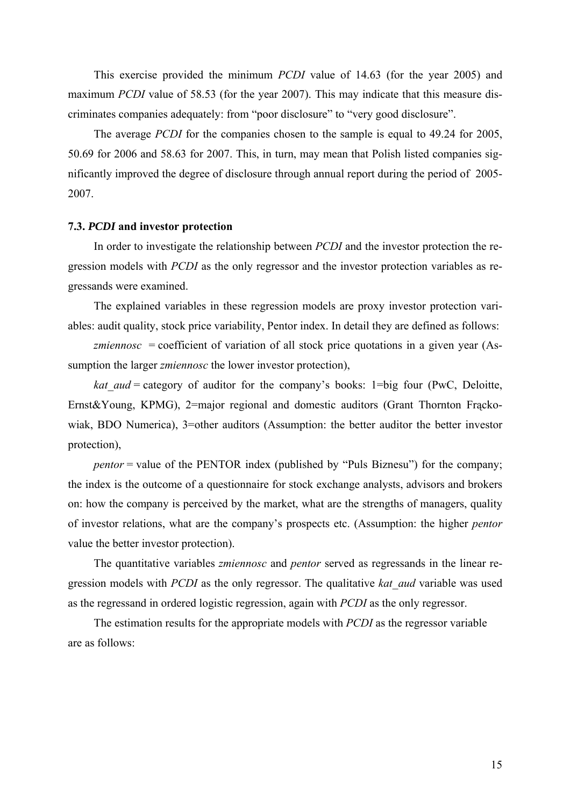This exercise provided the minimum *PCDI* value of 14.63 (for the year 2005) and maximum *PCDI* value of 58.53 (for the year 2007). This may indicate that this measure discriminates companies adequately: from "poor disclosure" to "very good disclosure".

The average *PCDI* for the companies chosen to the sample is equal to 49.24 for 2005, 50.69 for 2006 and 58.63 for 2007. This, in turn, may mean that Polish listed companies significantly improved the degree of disclosure through annual report during the period of 2005- 2007.

# **7.3.** *PCDI* **and investor protection**

In order to investigate the relationship between *PCDI* and the investor protection the regression models with *PCDI* as the only regressor and the investor protection variables as regressands were examined.

The explained variables in these regression models are proxy investor protection variables: audit quality, stock price variability, Pentor index. In detail they are defined as follows:

*zmiennosc* = coefficient of variation of all stock price quotations in a given year  $(As$ sumption the larger *zmiennosc* the lower investor protection),

*kat aud* = category of auditor for the company's books: 1=big four (PwC, Deloitte, Ernst&Young, KPMG), 2=major regional and domestic auditors (Grant Thornton Frąckowiak, BDO Numerica), 3=other auditors (Assumption: the better auditor the better investor protection),

*pentor* = value of the PENTOR index (published by "Puls Biznesu") for the company; the index is the outcome of a questionnaire for stock exchange analysts, advisors and brokers on: how the company is perceived by the market, what are the strengths of managers, quality of investor relations, what are the company's prospects etc. (Assumption: the higher *pentor* value the better investor protection).

The quantitative variables *zmiennosc* and *pentor* served as regressands in the linear regression models with *PCDI* as the only regressor. The qualitative *kat\_aud* variable was used as the regressand in ordered logistic regression, again with *PCDI* as the only regressor.

The estimation results for the appropriate models with *PCDI* as the regressor variable are as follows: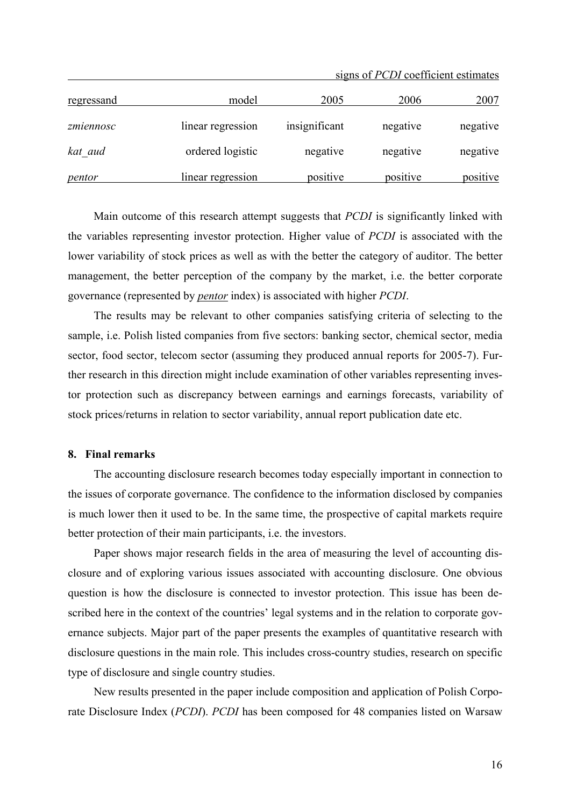| regressand | model             | 2005          | 2006     | 2007     |
|------------|-------------------|---------------|----------|----------|
| zmiennosc  | linear regression | insignificant | negative | negative |
| kat aud    | ordered logistic  | negative      | negative | negative |
| pentor     | linear regression | positive      | positive | positive |

signs of *PCDI* coefficient estimates

Main outcome of this research attempt suggests that *PCDI* is significantly linked with the variables representing investor protection. Higher value of *PCDI* is associated with the lower variability of stock prices as well as with the better the category of auditor. The better management, the better perception of the company by the market, i.e. the better corporate governance (represented by *pentor* index) is associated with higher *PCDI*.

The results may be relevant to other companies satisfying criteria of selecting to the sample, i.e. Polish listed companies from five sectors: banking sector, chemical sector, media sector, food sector, telecom sector (assuming they produced annual reports for 2005-7). Further research in this direction might include examination of other variables representing investor protection such as discrepancy between earnings and earnings forecasts, variability of stock prices/returns in relation to sector variability, annual report publication date etc.

#### **8. Final remarks**

The accounting disclosure research becomes today especially important in connection to the issues of corporate governance. The confidence to the information disclosed by companies is much lower then it used to be. In the same time, the prospective of capital markets require better protection of their main participants, i.e. the investors.

Paper shows major research fields in the area of measuring the level of accounting disclosure and of exploring various issues associated with accounting disclosure. One obvious question is how the disclosure is connected to investor protection. This issue has been described here in the context of the countries' legal systems and in the relation to corporate governance subjects. Major part of the paper presents the examples of quantitative research with disclosure questions in the main role. This includes cross-country studies, research on specific type of disclosure and single country studies.

New results presented in the paper include composition and application of Polish Corporate Disclosure Index (*PCDI*). *PCDI* has been composed for 48 companies listed on Warsaw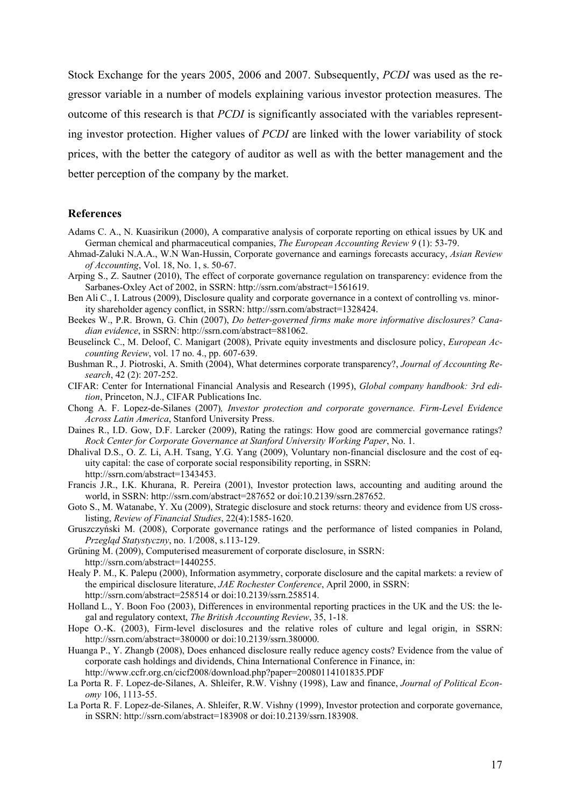Stock Exchange for the years 2005, 2006 and 2007. Subsequently, *PCDI* was used as the regressor variable in a number of models explaining various investor protection measures. The outcome of this research is that *PCDI* is significantly associated with the variables representing investor protection. Higher values of *PCDI* are linked with the lower variability of stock prices, with the better the category of auditor as well as with the better management and the better perception of the company by the market.

#### **References**

- Adams C. A., N. Kuasirikun (2000), A comparative analysis of corporate reporting on ethical issues by UK and German chemical and pharmaceutical companies, *The European Accounting Review 9* (1): 53-79.
- Ahmad-Zaluki N.A.A., W.N Wan-Hussin, Corporate governance and earnings forecasts accuracy, *Asian Review of Accounting*, Vol. 18, No. 1, s. 50-67.
- Arping S., Z. Sautner (2010), The effect of corporate governance regulation on transparency: evidence from the Sarbanes-Oxley Act of 2002, in SSRN: http://ssrn.com/abstract=1561619.
- Ben Ali C., I. Latrous (2009), Disclosure quality and corporate governance in a context of controlling vs. minority shareholder agency conflict, in SSRN: http://ssrn.com/abstract=1328424.
- Beekes W., P.R. Brown, G. Chin (2007), *Do better-governed firms make more informative disclosures? Canadian evidence*, in SSRN: http://ssrn.com/abstract=881062.
- Beuselinck C., M. Deloof, C. Manigart (2008), Private equity investments and disclosure policy, *European Accounting Review*, vol. 17 no. 4., pp. 607-639.
- Bushman R., J. Piotroski, A. Smith (2004), What determines corporate transparency?, *Journal of Accounting Research*, 42 (2): 207-252.
- CIFAR: Center for International Financial Analysis and Research (1995), *Global company handbook: 3rd edition*, Princeton, N.J., CIFAR Publications Inc.
- Chong A*.* F. Lopez-de-Silanes (2007)*, Investor protection and corporate governance. Firm-Level Evidence Across Latin America*, Stanford University Press.
- Daines R., I.D. Gow, D.F. Larcker (2009), Rating the ratings: How good are commercial governance ratings? *Rock Center for Corporate Governance at Stanford University Working Paper*, No. 1.
- Dhalival D.S., O. Z. Li, A.H. Tsang, Y.G. Yang (2009), Voluntary non-financial disclosure and the cost of equity capital: the case of corporate social responsibility reporting, in SSRN: http://ssrn.com/abstract=1343453.
- Francis J.R., I.K. Khurana, R. Pereira (2001), Investor protection laws, accounting and auditing around the world, in SSRN: http://ssrn.com/abstract=287652 or doi:10.2139/ssrn.287652.
- Goto S., M. Watanabe, Y. Xu (2009), Strategic disclosure and stock returns: theory and evidence from US crosslisting, *Review of Financial Studies*, 22(4):1585-1620.
- Gruszczyński M. (2008), Corporate governance ratings and the performance of listed companies in Poland, *Przegląd Statystyczny*, no. 1/2008, s.113-129.
- Grüning M. (2009), Computerised measurement of corporate disclosure, in SSRN: http://ssrn.com/abstract=1440255.
- Healy P. M., K. Palepu (2000), Information asymmetry, corporate disclosure and the capital markets: a review of the empirical disclosure literature, *JAE Rochester Conference*, April 2000, in SSRN: http://ssrn.com/abstract=258514 or doi:10.2139/ssrn.258514.
- Holland L., Y. Boon Foo (2003), Differences in environmental reporting practices in the UK and the US: the legal and regulatory context, *The British Accounting Review*, 35, 1-18.
- Hope O.-K. (2003), Firm-level disclosures and the relative roles of culture and legal origin, in SSRN: http://ssrn.com/abstract=380000 or doi:10.2139/ssrn.380000.
- Huanga P., Y. Zhangb (2008), Does enhanced disclosure really reduce agency costs? Evidence from the value of corporate cash holdings and dividends, China International Conference in Finance, in: http://www.ccfr.org.cn/cicf2008/download.php?paper=20080114101835.PDF
- La Porta R. F. Lopez-de-Silanes, A. Shleifer, R.W. Vishny (1998), Law and finance, *Journal of Political Economy* 106, 1113-55.
- La Porta R. F. Lopez-de-Silanes, A. Shleifer, R.W. Vishny (1999), Investor protection and corporate governance, in SSRN: http://ssrn.com/abstract=183908 or doi:10.2139/ssrn.183908.